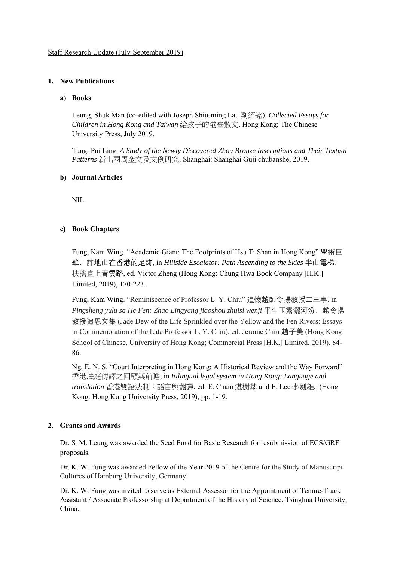# **1. New Publications**

#### **a) Books**

Leung, Shuk Man (co-edited with Joseph Shiu-ming Lau 劉紹銘). *Collected Essays for Children in Hong Kong and Taiwan* 給孩子的港臺散文. Hong Kong: The Chinese University Press, July 2019.

Tang, Pui Ling. *A Study of the Newly Discovered Zhou Bronze Inscriptions and Their Textual Patterns* 新出兩周金文及文例研究. Shanghai: Shanghai Guji chubanshe, 2019.

# **b) Journal Articles**

NIL

# **c) Book Chapters**

Fung, Kam Wing. "Academic Giant: The Footprints of Hsu Ti Shan in Hong Kong" 學術巨 擘:許地山在香港的足跡, in *Hillside Escalator: Path Ascending to the Skies* 半山電梯: 扶搖直上青雲路, ed. Victor Zheng (Hong Kong: Chung Hwa Book Company [H.K.] Limited, 2019), 170-223.

Fung, Kam Wing. "Reminiscence of Professor L. Y. Chiu" 追懷趙師令揚教授二三事, in *Pingsheng yulu sa He Fen: Zhao Lingyang jiaoshou zhuisi wenji* 平生玉露灑河汾:趙令揚 教授追思文集 (Jade Dew of the Life Sprinkled over the Yellow and the Fen Rivers: Essays in Commemoration of the Late Professor L. Y. Chiu), ed. Jerome Chiu 趙子美 (Hong Kong: School of Chinese, University of Hong Kong; Commercial Press [H.K.] Limited, 2019), 84- 86.

Ng, E. N. S. "Court Interpreting in Hong Kong: A Historical Review and the Way Forward" 香港法庭傳譯之回顧與前瞻, in *Bilingual legal system in Hong Kong: Language and translation* 香港雙語法制:語言與翻譯, ed. E. Cham 湛樹基 and E. Lee 李劍雄, (Hong Kong: Hong Kong University Press, 2019), pp. 1-19.

#### **2. Grants and Awards**

Dr. S. M. Leung was awarded the Seed Fund for Basic Research for resubmission of ECS/GRF proposals.

Dr. K. W. Fung was awarded Fellow of the Year 2019 of the Centre for the Study of Manuscript Cultures of Hamburg University, Germany.

Dr. K. W. Fung was invited to serve as External Assessor for the Appointment of Tenure-Track Assistant / Associate Professorship at Department of the History of Science, Tsinghua University, China.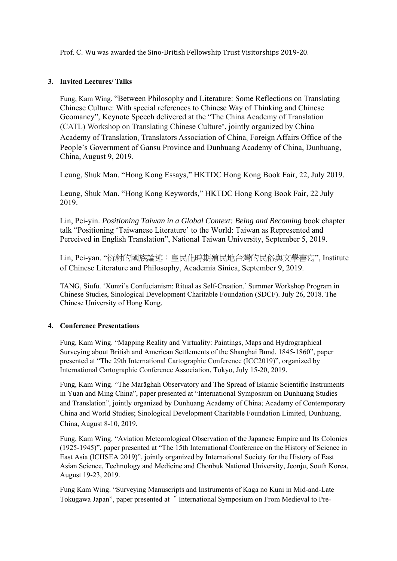Prof. C. Wu was awarded the Sino-British Fellowship Trust Visitorships 2019-20.

# **3. Invited Lectures/ Talks**

Fung, Kam Wing. "Between Philosophy and Literature: Some Reflections on Translating Chinese Culture: With special references to Chinese Way of Thinking and Chinese Geomancy", Keynote Speech delivered at the "The China Academy of Translation (CATL) Workshop on Translating Chinese Culture", jointly organized by China Academy of Translation, Translators Association of China, Foreign Affairs Office of the People's Government of Gansu Province and Dunhuang Academy of China, Dunhuang, China, August 9, 2019.

Leung, Shuk Man. "Hong Kong Essays," HKTDC Hong Kong Book Fair, 22, July 2019.

Leung, Shuk Man. "Hong Kong Keywords," HKTDC Hong Kong Book Fair, 22 July 2019.

Lin, Pei-yin. *Positioning Taiwan in a Global Context: Being and Becoming* book chapter talk "Positioning 'Taiwanese Literature' to the World: Taiwan as Represented and Perceived in English Translation", National Taiwan University, September 5, 2019.

Lin, Pei-yan. "衍射的國族論述:皇民化時期殖民地台灣的民俗與文學書寫", Institute of Chinese Literature and Philosophy, Academia Sinica, September 9, 2019.

TANG, Siufu. 'Xunzi's Confucianism: Ritual as Self-Creation.' Summer Workshop Program in Chinese Studies, Sinological Development Charitable Foundation (SDCF). July 26, 2018. The Chinese University of Hong Kong.

#### **4. Conference Presentations**

Fung, Kam Wing. "Mapping Reality and Virtuality: Paintings, Maps and Hydrographical Surveying about British and American Settlements of the Shanghai Bund, 1845-1860", paper presented at "The 29th International Cartographic Conference (ICC2019)", organized by International Cartographic Conference Association, Tokyo, July 15-20, 2019.

Fung, Kam Wing. "The Marāghah Observatory and The Spread of Islamic Scientific Instruments in Yuan and Ming China", paper presented at "International Symposium on Dunhuang Studies and Translation", jointly organized by Dunhuang Academy of China; Academy of Contemporary China and World Studies; Sinological Development Charitable Foundation Limited, Dunhuang, China, August 8-10, 2019.

Fung, Kam Wing. "Aviation Meteorological Observation of the Japanese Empire and Its Colonies (1925-1945)", paper presented at "The 15th International Conference on the History of Science in East Asia (ICHSEA 2019)", jointly organized by International Society for the History of East Asian Science, Technology and Medicine and Chonbuk National University, Jeonju, South Korea, August 19-23, 2019.

Fung Kam Wing. "Surveying Manuscripts and Instruments of Kaga no Kuni in Mid-and-Late Tokugawa Japan", paper presented at "International Symposium on From Medieval to Pre